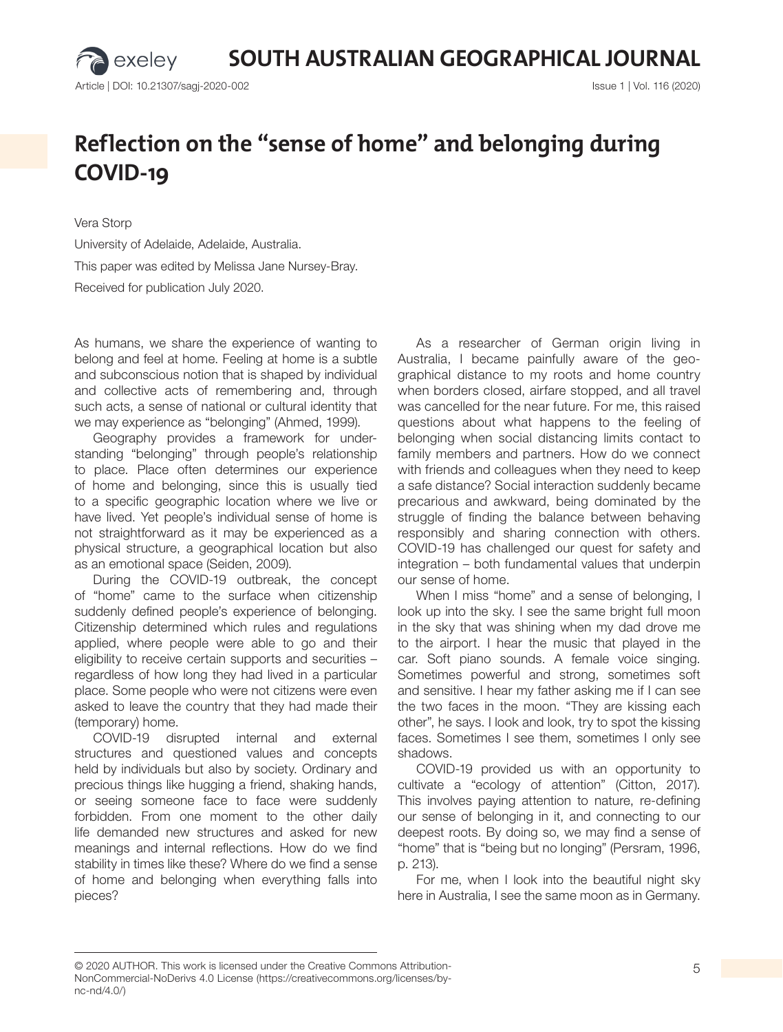**SOUTH AUSTRALIAN GEOGRAPHICAL JOURNAL**

exeley

## Reflection on the "sense of home" and belonging during **COVID-19**

Vera Storp University of Adelaide, Adelaide, Australia. This paper was edited by Melissa Jane Nursey-Bray. Received for publication July 2020.

As humans, we share the experience of wanting to belong and feel at home. Feeling at home is a subtle and subconscious notion that is shaped by individual and collective acts of remembering and, through such acts, a sense of national or cultural identity that we may experience as "belonging" (Ahmed, 1999).

Geography provides a framework for understanding "belonging" through people's relationship to place. Place often determines our experience of home and belonging, since this is usually tied to a specific geographic location where we live or have lived. Yet people's individual sense of home is not straightforward as it may be experienced as a physical structure, a geographical location but also as an emotional space (Seiden, 2009).

During the COVID-19 outbreak, the concept of "home" came to the surface when citizenship suddenly defined people's experience of belonging. Citizenship determined which rules and regulations applied, where people were able to go and their eligibility to receive certain supports and securities – regardless of how long they had lived in a particular place. Some people who were not citizens were even asked to leave the country that they had made their (temporary) home.

COVID-19 disrupted internal and external structures and questioned values and concepts held by individuals but also by society. Ordinary and precious things like hugging a friend, shaking hands, or seeing someone face to face were suddenly forbidden. From one moment to the other daily life demanded new structures and asked for new meanings and internal reflections. How do we find stability in times like these? Where do we find a sense of home and belonging when everything falls into pieces?

As a researcher of German origin living in Australia, I became painfully aware of the geographical distance to my roots and home country when borders closed, airfare stopped, and all travel was cancelled for the near future. For me, this raised questions about what happens to the feeling of belonging when social distancing limits contact to family members and partners. How do we connect with friends and colleagues when they need to keep a safe distance? Social interaction suddenly became precarious and awkward, being dominated by the struggle of finding the balance between behaving responsibly and sharing connection with others. COVID-19 has challenged our quest for safety and integration – both fundamental values that underpin our sense of home.

When I miss "home" and a sense of belonging, I look up into the sky. I see the same bright full moon in the sky that was shining when my dad drove me to the airport. I hear the music that played in the car. Soft piano sounds. A female voice singing. Sometimes powerful and strong, sometimes soft and sensitive. I hear my father asking me if I can see the two faces in the moon. "They are kissing each other", he says. I look and look, try to spot the kissing faces. Sometimes I see them, sometimes I only see shadows.

COVID-19 provided us with an opportunity to cultivate a "ecology of attention" (Citton, 2017). This involves paying attention to nature, re-defining our sense of belonging in it, and connecting to our deepest roots. By doing so, we may find a sense of "home" that is "being but no longing" (Persram, 1996, p. 213).

For me, when I look into the beautiful night sky here in Australia, I see the same moon as in Germany.

<sup>© 2020</sup> AUTHOR. This work is licensed under the Creative Commons Attribution- 5 NonCommercial-NoDerivs 4.0 License (https://creativecommons.org/licenses/bync-nd/4.0/)